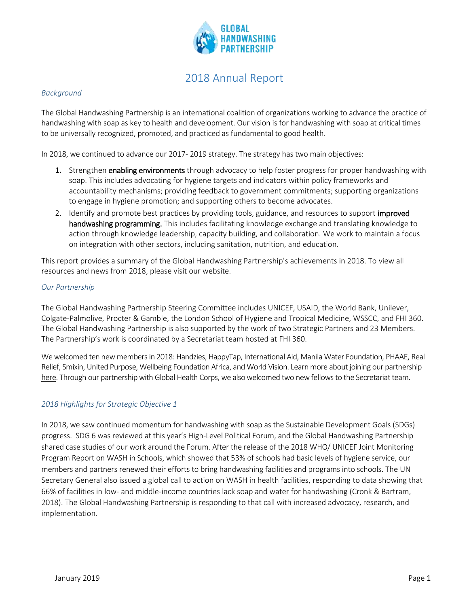

# 2018 Annual Report

#### *Background*

The Global Handwashing Partnership is an international coalition of organizations working to advance the practice of handwashing with soap as key to health and development. Our vision is for handwashing with soap at critical times to be universally recognized, promoted, and practiced as fundamental to good health.

In 2018, we continued to advance our 2017- 2019 strategy. The strategy has two main objectives:

- 1. Strengthen **enabling environments** through advocacy to help foster progress for proper handwashing with soap. This includes advocating for hygiene targets and indicators within policy frameworks and accountability mechanisms; providing feedback to government commitments; supporting organizations to engage in hygiene promotion; and supporting others to become advocates.
- 2. Identify and promote best practices by providing tools, guidance, and resources to support improved handwashing programming. This includes facilitating knowledge exchange and translating knowledge to action through knowledge leadership, capacity building, and collaboration. We work to maintain a focus on integration with other sectors, including sanitation, nutrition, and education.

This report provides a summary of the Global Handwashing Partnership's achievements in 2018. To view all resources and news from 2018, please visit our [website.](https://globalhandwashing.org/)

#### *Our Partnership*

The Global Handwashing Partnership Steering Committee includes UNICEF, USAID, the World Bank, Unilever, Colgate-Palmolive, Procter & Gamble, the London School of Hygiene and Tropical Medicine, WSSCC, and FHI 360. The Global Handwashing Partnership is also supported by the work of two Strategic Partners and 23 Members. The Partnership's work is coordinated by a Secretariat team hosted at FHI 360.

Wewelcomed ten new members in 2018: Handzies, HappyTap, International Aid, Manila Water Foundation, PHAAE, Real Relief, Smixin, United Purpose, Wellbeing Foundation Africa, and World Vision. Learn more about joining our partnership [here.](https://globalhandwashing.org/join-us/) Through our partnership with Global Health Corps, we also welcomed two new fellows to the Secretariat team.

#### *2018 Highlights for Strategic Objective 1*

In 2018, we saw continued momentum for handwashing with soap as the Sustainable Development Goals (SDGs) progress. SDG 6 was reviewed at this year's High-Level Political Forum, and the Global Handwashing Partnership shared case studies of our work around the Forum. After the release of the 2018 WHO/ UNICEF Joint Monitoring Program Report on WASH in Schools, which showed that 53% of schools had basic levels of hygiene service, our members and partners renewed their efforts to bring handwashing facilities and programs into schools. The UN Secretary General also issued a global call to action on WASH in health facilities, responding to data showing that 66% of facilities in low- and middle-income countries lack soap and water for handwashing (Cronk & Bartram, 2018). The Global Handwashing Partnership is responding to that call with increased advocacy, research, and implementation.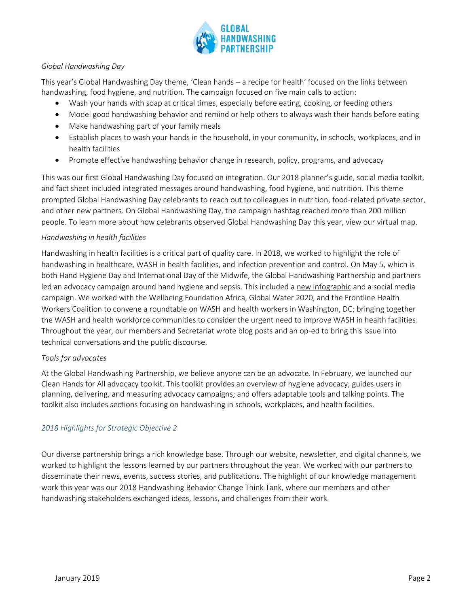

## *Global Handwashing Day*

This year's Global Handwashing Day theme, 'Clean hands – a recipe for health' focused on the links between handwashing, food hygiene, and nutrition. The campaign focused on five main calls to action:

- Wash your hands with soap at critical times, especially before eating, cooking, or feeding others
- Model good handwashing behavior and remind or help others to always wash their hands before eating
- Make handwashing part of your family meals
- Establish places to wash your hands in the household, in your community, in schools, workplaces, and in health facilities
- Promote effective handwashing behavior change in research, policy, programs, and advocacy

This was our first Global Handwashing Day focused on integration. Our 2018 planner's guide, social media toolkit, and fact sheet included integrated messages around handwashing, food hygiene, and nutrition. This theme prompted Global Handwashing Day celebrants to reach out to colleagues in nutrition, food-related private sector, and other new partners. On Global Handwashing Day, the campaign hashtag reached more than 200 million people. To learn more about how celebrants observed Global Handwashing Day this year, view our [virtual map.](https://globalhandwashing.org/global-handwashing-day/get-involved/submit-events/view-events/)

#### *Handwashing in health facilities*

Handwashing in health facilities is a critical part of quality care. In 2018, we worked to highlight the role of handwashing in healthcare, WASH in health facilities, and infection prevention and control. On May 5, which is both Hand Hygiene Day and International Day of the Midwife, the Global Handwashing Partnership and partners led an advocacy campaign around hand hygiene and sepsis. This included a [new infographic](https://globalhandwashing.org/resources/infographic-hygiene-in-health-facilities/) and a social media campaign. We worked with the Wellbeing Foundation Africa, Global Water 2020, and the Frontline Health Workers Coalition to convene a roundtable on WASH and health workers in Washington, DC; bringing together the WASH and health workforce communities to consider the urgent need to improve WASH in health facilities. Throughout the year, our members and Secretariat wrote blog posts and an op-ed to bring this issue into technical conversations and the public discourse.

#### *Tools for advocates*

At the Global Handwashing Partnership, we believe anyone can be an advocate. In February, we launched our Clean Hands for All advocacy toolkit. This toolkit provides an overview of hygiene advocacy; guides users in planning, delivering, and measuring advocacy campaigns; and offers adaptable tools and talking points. The toolkit also includes sections focusing on handwashing in schools, workplaces, and health facilities.

#### *2018 Highlights for Strategic Objective 2*

Our diverse partnership brings a rich knowledge base. Through our website, newsletter, and digital channels, we worked to highlight the lessons learned by our partners throughout the year. We worked with our partners to disseminate their news, events, success stories, and publications. The highlight of our knowledge management work this year was our 2018 Handwashing Behavior Change Think Tank, where our members and other handwashing stakeholders exchanged ideas, lessons, and challenges from their work.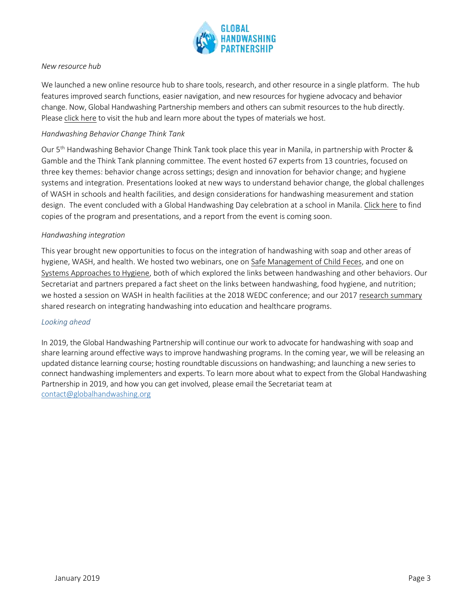

#### *New resource hub*

We launched a new online resource hub to share tools, research, and other resource in a single platform. The hub features improved search functions, easier navigation, and new resources for hygiene advocacy and behavior change. Now, Global Handwashing Partnership members and others can submit resources to the hub directly. Please [click here](https://globalhandwashing.org/resources-main/) to visit the hub and learn more about the types of materials we host.

## *Handwashing Behavior Change Think Tank*

Our 5<sup>th</sup> Handwashing Behavior Change Think Tank took place this year in Manila, in partnership with Procter & Gamble and the Think Tank planning committee. The event hosted 67 experts from 13 countries, focused on three key themes: behavior change across settings; design and innovation for behavior change; and hygiene systems and integration*.* Presentations looked at new ways to understand behavior change, the global challenges of WASH in schools and health facilities, and design considerations for handwashing measurement and station design. The event concluded with a Global Handwashing Day celebration at a school in Manila. [Click here](https://globalhandwashing.org/2018-handwashing-behavior-change-think-tank/) to find copies of the program and presentations, and a report from the event is coming soon.

#### *Handwashing integration*

This year brought new opportunities to focus on the integration of handwashing with soap and other areas of hygiene, WASH, and health. We hosted two webinars, one on [Safe Management of Child Feces,](https://globalhandwashing.org/resources/webinar-summary-the-forgotten-juncture-handwashing-and-safe-management-of-child-feces/?_sft_publication_year=2018) and one on [Systems Approaches to Hygiene,](https://globalhandwashing.org/resources/webinar-summary-systems-approaches-to-hygiene-behavior-change-lessons-across-wash-health-and-education/?_sft_publication_year=2018) both of which explored the links between handwashing and other behaviors. Our Secretariat and partners prepared a fact sheet on the links between handwashing, food hygiene, and nutrition; we hosted a session on WASH in health facilities at the 2018 WEDC conference; and our 2017 [research summary](http://globalhandwashing.org/wp-content/uploads/2018/05/The-State-of-Handwashing-in-2017_Final_tc.pdf) shared research on integrating handwashing into education and healthcare programs.

#### *Looking ahead*

In 2019, the Global Handwashing Partnership will continue our work to advocate for handwashing with soap and share learning around effective ways to improve handwashing programs. In the coming year, we will be releasing an updated distance learning course; hosting roundtable discussions on handwashing; and launching a new series to connect handwashing implementers and experts. To learn more about what to expect from the Global Handwashing Partnership in 2019, and how you can get involved, please email the Secretariat team at [contact@globalhandwashing.org](mailto:contact@globalhandwashing.org)